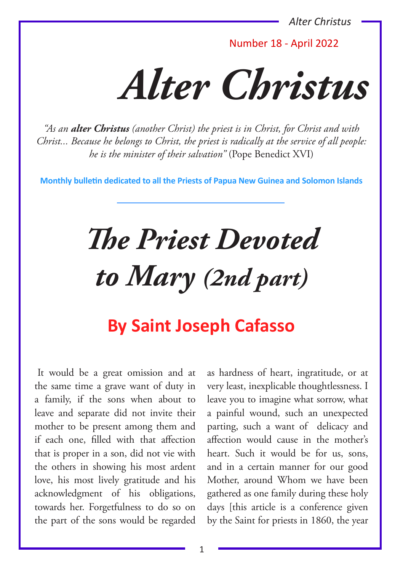*Alter Christus*

Number 18 - April 2022

*Alter Christus*

*"As an alter Christus (another Christ) the priest is in Christ, for Christ and with Christ... Because he belongs to Christ, the priest is radically at the service of all people: he is the minister of their salvation"* (Pope Benedict XVI)

**Monthly bulletin dedicated to all the Priests of Papua New Guinea and Solomon Islands**

# *The Priest Devoted to Mary (2nd part)*

## **By Saint Joseph Cafasso**

It would be a great omission and at the same time a grave want of duty in a family, if the sons when about to leave and separate did not invite their mother to be present among them and if each one, filled with that affection that is proper in a son, did not vie with the others in showing his most ardent love, his most lively gratitude and his acknowledgment of his obligations, towards her. Forgetfulness to do so on the part of the sons would be regarded

as hardness of heart, ingratitude, or at very least, inexplicable thoughtlessness. I leave you to imagine what sorrow, what a painful wound, such an unexpected parting, such a want of delicacy and affection would cause in the mother's heart. Such it would be for us, sons, and in a certain manner for our good Mother, around Whom we have been gathered as one family during these holy days [this article is a conference given by the Saint for priests in 1860, the year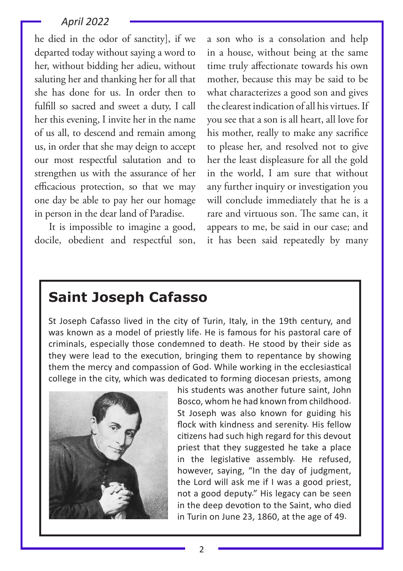#### *April 2022*

he died in the odor of sanctity], if we departed today without saying a word to her, without bidding her adieu, without saluting her and thanking her for all that she has done for us. In order then to fulfill so sacred and sweet a duty, I call her this evening, I invite her in the name of us all, to descend and remain among us, in order that she may deign to accept our most respectful salutation and to strengthen us with the assurance of her efficacious protection, so that we may one day be able to pay her our homage in person in the dear land of Paradise.

 It is impossible to imagine a good, docile, obedient and respectful son, a son who is a consolation and help in a house, without being at the same time truly affectionate towards his own mother, because this may be said to be what characterizes a good son and gives the clearest indication of all his virtues. If you see that a son is all heart, all love for his mother, really to make any sacrifice to please her, and resolved not to give her the least displeasure for all the gold in the world, I am sure that without any further inquiry or investigation you will conclude immediately that he is a rare and virtuous son. The same can, it appears to me, be said in our case; and it has been said repeatedly by many

### **Saint Joseph Cafasso**

St Joseph Cafasso lived in the city of Turin, Italy, in the 19th century, and was known as a model of priestly life. He is famous for his pastoral care of criminals, especially those condemned to death. He stood by their side as they were lead to the execution, bringing them to repentance by showing them the mercy and compassion of God. While working in the ecclesiastical college in the city, which was dedicated to forming diocesan priests, among



his students was another future saint, John Bosco, whom he had known from childhood. St Joseph was also known for guiding his flock with kindness and serenity. His fellow citizens had such high regard for this devout priest that they suggested he take a place in the legislative assembly. He refused, however, saying, "In the day of judgment, the Lord will ask me if I was a good priest, not a good deputy." His legacy can be seen in the deep devotion to the Saint, who died in Turin on June 23, 1860, at the age of 49.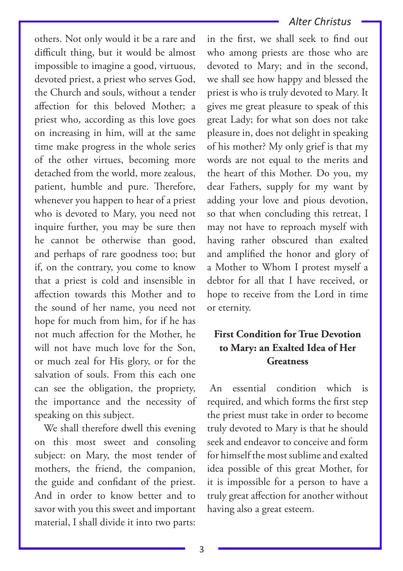#### *Alter Christus*

others. Not only would it be a rare and difficult thing, but it would be almost impossible to imagine a good, virtuous, devoted priest, a priest who serves God, the Church and souls, without a tender affection for this beloved Mother; a priest who, according as this love goes on increasing in him, will at the same time make progress in the whole series of the other virtues, becoming more detached from the world, more zealous, patient, humble and pure. Therefore, whenever you happen to hear of a priest who is devoted to Mary, you need not inquire further, you may be sure then he cannot be otherwise than good, and perhaps of rare goodness too; but if, on the contrary, you come to know that a priest is cold and insensible in affection towards this Mother and to the sound of her name, you need not hope for much from him, for if he has not much affection for the Mother, he will not have much love for the Son, or much zeal for His glory, or for the salvation of souls. From this each one can see the obligation, the propriety, the importance and the necessity of speaking on this subject.

 We shall therefore dwell this evening on this most sweet and consoling subject: on Mary, the most tender of mothers, the friend, the companion, the guide and confidant of the priest. And in order to know better and to savor with you this sweet and important material, I shall divide it into two parts:

in the first, we shall seek to find out who among priests are those who are devoted to Mary; and in the second, we shall see how happy and blessed the priest is who is truly devoted to Mary. It gives me great pleasure to speak of this great Lady; for what son does not take pleasure in, does not delight in speaking of his mother? My only grief is that my words are not equal to the merits and the heart of this Mother. Do you, my dear Fathers, supply for my want by adding your love and pious devotion, so that when concluding this retreat, I may not have to reproach myself with having rather obscured than exalted and amplified the honor and glory of a Mother to Whom I protest myself a debtor for all that I have received, or hope to receive from the Lord in time or eternity.

#### **First Condition for True Devotion to Mary: an Exalted Idea of Her Greatness**

An essential condition which is required, and which forms the first step the priest must take in order to become truly devoted to Mary is that he should seek and endeavor to conceive and form for himself the most sublime and exalted idea possible of this great Mother, for it is impossible for a person to have a truly great affection for another without having also a great esteem.

3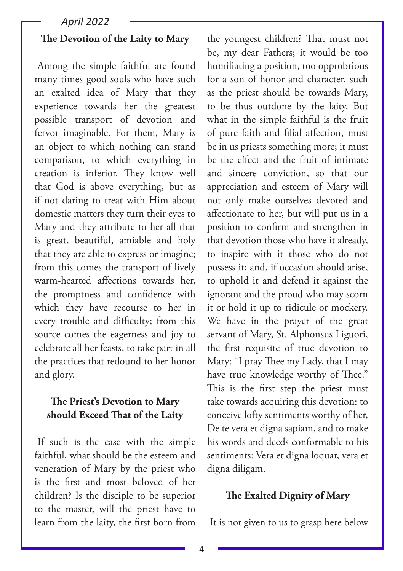#### *April 2022*

#### **The Devotion of the Laity to Mary**

Among the simple faithful are found many times good souls who have such an exalted idea of Mary that they experience towards her the greatest possible transport of devotion and fervor imaginable. For them, Mary is an object to which nothing can stand comparison, to which everything in creation is inferior. They know well that God is above everything, but as if not daring to treat with Him about domestic matters they turn their eyes to Mary and they attribute to her all that is great, beautiful, amiable and holy that they are able to express or imagine; from this comes the transport of lively warm-hearted affections towards her, the promptness and confidence with which they have recourse to her in every trouble and difficulty; from this source comes the eagerness and joy to celebrate all her feasts, to take part in all the practices that redound to her honor and glory.

#### **The Priest's Devotion to Mary should Exceed That of the Laity**

If such is the case with the simple faithful, what should be the esteem and veneration of Mary by the priest who is the first and most beloved of her children? Is the disciple to be superior to the master, will the priest have to learn from the laity, the first born from

the youngest children? That must not be, my dear Fathers; it would be too humiliating a position, too opprobrious for a son of honor and character, such as the priest should be towards Mary, to be thus outdone by the laity. But what in the simple faithful is the fruit of pure faith and filial affection, must be in us priests something more; it must be the effect and the fruit of intimate and sincere conviction, so that our appreciation and esteem of Mary will not only make ourselves devoted and affectionate to her, but will put us in a position to confirm and strengthen in that devotion those who have it already, to inspire with it those who do not possess it; and, if occasion should arise, to uphold it and defend it against the ignorant and the proud who may scorn it or hold it up to ridicule or mockery. We have in the prayer of the great servant of Mary, St. Alphonsus Liguori, the first requisite of true devotion to Mary: "I pray Thee my Lady, that I may have true knowledge worthy of Thee." This is the first step the priest must take towards acquiring this devotion: to conceive lofty sentiments worthy of her, De te vera et digna sapiam, and to make his words and deeds conformable to his sentiments: Vera et digna loquar, vera et digna diligam.

#### **The Exalted Dignity of Mary**

It is not given to us to grasp here below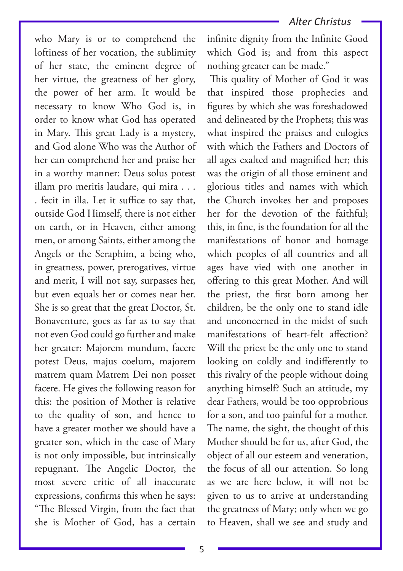who Mary is or to comprehend the loftiness of her vocation, the sublimity of her state, the eminent degree of her virtue, the greatness of her glory, the power of her arm. It would be necessary to know Who God is, in order to know what God has operated in Mary. This great Lady is a mystery, and God alone Who was the Author of her can comprehend her and praise her in a worthy manner: Deus solus potest illam pro meritis laudare, qui mira . . . . fecit in illa. Let it suffice to say that, outside God Himself, there is not either on earth, or in Heaven, either among men, or among Saints, either among the Angels or the Seraphim, a being who, in greatness, power, prerogatives, virtue and merit, I will not say, surpasses her, but even equals her or comes near her. She is so great that the great Doctor, St. Bonaventure, goes as far as to say that not even God could go further and make her greater: Majorem mundum, facere potest Deus, majus coelum, majorem matrem quam Matrem Dei non posset facere. He gives the following reason for this: the position of Mother is relative to the quality of son, and hence to have a greater mother we should have a greater son, which in the case of Mary is not only impossible, but intrinsically repugnant. The Angelic Doctor, the most severe critic of all inaccurate expressions, confirms this when he says: "The Blessed Virgin, from the fact that she is Mother of God, has a certain

infinite dignity from the Infinite Good which God is; and from this aspect nothing greater can be made."

This quality of Mother of God it was that inspired those prophecies and figures by which she was foreshadowed and delineated by the Prophets; this was what inspired the praises and eulogies with which the Fathers and Doctors of all ages exalted and magnified her; this was the origin of all those eminent and glorious titles and names with which the Church invokes her and proposes her for the devotion of the faithful; this, in fine, is the foundation for all the manifestations of honor and homage which peoples of all countries and all ages have vied with one another in offering to this great Mother. And will the priest, the first born among her children, be the only one to stand idle and unconcerned in the midst of such manifestations of heart-felt affection? Will the priest be the only one to stand looking on coldly and indifferently to this rivalry of the people without doing anything himself? Such an attitude, my dear Fathers, would be too opprobrious for a son, and too painful for a mother. The name, the sight, the thought of this Mother should be for us, after God, the object of all our esteem and veneration, the focus of all our attention. So long as we are here below, it will not be given to us to arrive at understanding the greatness of Mary; only when we go to Heaven, shall we see and study and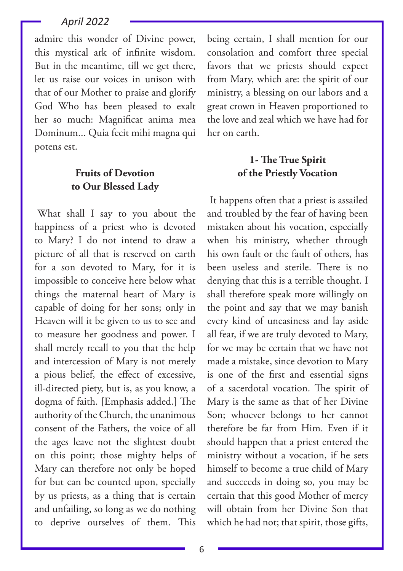#### *April 2022*

admire this wonder of Divine power, this mystical ark of infinite wisdom. But in the meantime, till we get there, let us raise our voices in unison with that of our Mother to praise and glorify God Who has been pleased to exalt her so much: Magnificat anima mea Dominum... Quia fecit mihi magna qui potens est.

#### **Fruits of Devotion to Our Blessed Lady**

What shall I say to you about the happiness of a priest who is devoted to Mary? I do not intend to draw a picture of all that is reserved on earth for a son devoted to Mary, for it is impossible to conceive here below what things the maternal heart of Mary is capable of doing for her sons; only in Heaven will it be given to us to see and to measure her goodness and power. I shall merely recall to you that the help and intercession of Mary is not merely a pious belief, the effect of excessive, ill-directed piety, but is, as you know, a dogma of faith. [Emphasis added.] The authority of the Church, the unanimous consent of the Fathers, the voice of all the ages leave not the slightest doubt on this point; those mighty helps of Mary can therefore not only be hoped for but can be counted upon, specially by us priests, as a thing that is certain and unfailing, so long as we do nothing to deprive ourselves of them. This

being certain, I shall mention for our consolation and comfort three special favors that we priests should expect from Mary, which are: the spirit of our ministry, a blessing on our labors and a great crown in Heaven proportioned to the love and zeal which we have had for her on earth.

#### **1- The True Spirit of the Priestly Vocation**

It happens often that a priest is assailed and troubled by the fear of having been mistaken about his vocation, especially when his ministry, whether through his own fault or the fault of others, has been useless and sterile. There is no denying that this is a terrible thought. I shall therefore speak more willingly on the point and say that we may banish every kind of uneasiness and lay aside all fear, if we are truly devoted to Mary, for we may be certain that we have not made a mistake, since devotion to Mary is one of the first and essential signs of a sacerdotal vocation. The spirit of Mary is the same as that of her Divine Son; whoever belongs to her cannot therefore be far from Him. Even if it should happen that a priest entered the ministry without a vocation, if he sets himself to become a true child of Mary and succeeds in doing so, you may be certain that this good Mother of mercy will obtain from her Divine Son that which he had not; that spirit, those gifts,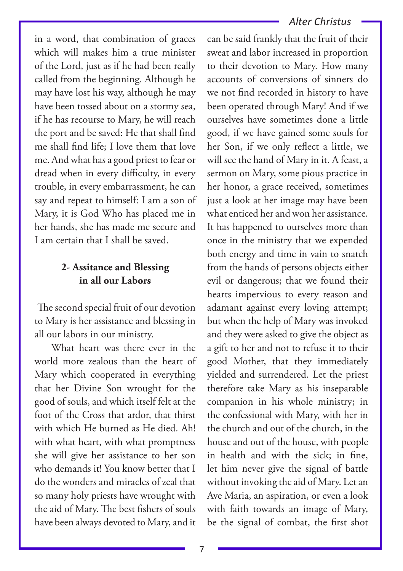#### *Alter Christus*

in a word, that combination of graces which will makes him a true minister of the Lord, just as if he had been really called from the beginning. Although he may have lost his way, although he may have been tossed about on a stormy sea, if he has recourse to Mary, he will reach the port and be saved: He that shall find me shall find life; I love them that love me. And what has a good priest to fear or dread when in every difficulty, in every trouble, in every embarrassment, he can say and repeat to himself: I am a son of Mary, it is God Who has placed me in her hands, she has made me secure and I am certain that I shall be saved.

#### **2- Assitance and Blessing in all our Labors**

The second special fruit of our devotion to Mary is her assistance and blessing in all our labors in our ministry.

 What heart was there ever in the world more zealous than the heart of Mary which cooperated in everything that her Divine Son wrought for the good of souls, and which itself felt at the foot of the Cross that ardor, that thirst with which He burned as He died. Ah! with what heart, with what promptness she will give her assistance to her son who demands it! You know better that I do the wonders and miracles of zeal that so many holy priests have wrought with the aid of Mary. The best fishers of souls have been always devoted to Mary, and it

can be said frankly that the fruit of their sweat and labor increased in proportion to their devotion to Mary. How many accounts of conversions of sinners do we not find recorded in history to have been operated through Mary! And if we ourselves have sometimes done a little good, if we have gained some souls for her Son, if we only reflect a little, we will see the hand of Mary in it. A feast, a sermon on Mary, some pious practice in her honor, a grace received, sometimes just a look at her image may have been what enticed her and won her assistance. It has happened to ourselves more than once in the ministry that we expended both energy and time in vain to snatch from the hands of persons objects either evil or dangerous; that we found their hearts impervious to every reason and adamant against every loving attempt; but when the help of Mary was invoked and they were asked to give the object as a gift to her and not to refuse it to their good Mother, that they immediately yielded and surrendered. Let the priest therefore take Mary as his inseparable companion in his whole ministry; in the confessional with Mary, with her in the church and out of the church, in the house and out of the house, with people in health and with the sick; in fine, let him never give the signal of battle without invoking the aid of Mary. Let an Ave Maria, an aspiration, or even a look with faith towards an image of Mary, be the signal of combat, the first shot